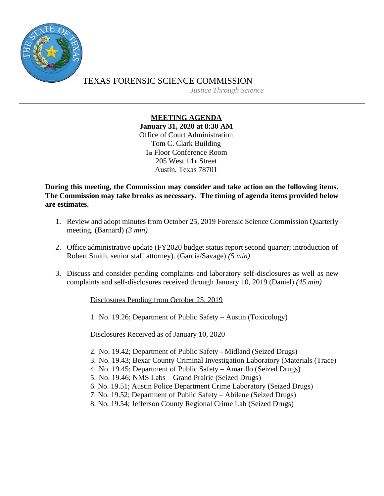

TEXAS FORENSIC SCIENCE COMMISSION *Justice Through Science*

> **MEETING AGENDA January 31, 2020 at 8:30 AM** Office of Court Administration Tom C. Clark Building 1st Floor Conference Room 205 West 14th Street Austin, Texas 78701

**During this meeting, the Commission may consider and take action on the following items. The Commission may take breaks as necessary. The timing of agenda items provided below are estimates.**

- 1. Review and adopt minutes from October 25, 2019 Forensic Science Commission Quarterly meeting. (Barnard) *(3 min)*
- 2. Office administrative update (FY2020 budget status report second quarter; introduction of Robert Smith, senior staff attorney). (Garcia/Savage) *(5 min)*
- 3. Discuss and consider pending complaints and laboratory self-disclosures as well as new complaints and self-disclosures received through January 10, 2019 (Daniel) *(45 min)*

Disclosures Pending from October 25, 2019

1. No. 19.26; Department of Public Safety – Austin (Toxicology)

Disclosures Received as of January 10, 2020

- 2. No. 19.42; Department of Public Safety Midland (Seized Drugs)
- 3. No. 19.43; Bexar County Criminal Investigation Laboratory (Materials (Trace)
- 4. No. 19.45; Department of Public Safety Amarillo (Seized Drugs)
- 5. No. 19.46; NMS Labs Grand Prairie (Seized Drugs)
- 6. No. 19.51; Austin Police Department Crime Laboratory (Seized Drugs)
- 7. No. 19.52; Department of Public Safety Abilene (Seized Drugs)
- 8. No. 19.54; Jefferson County Regional Crime Lab (Seized Drugs)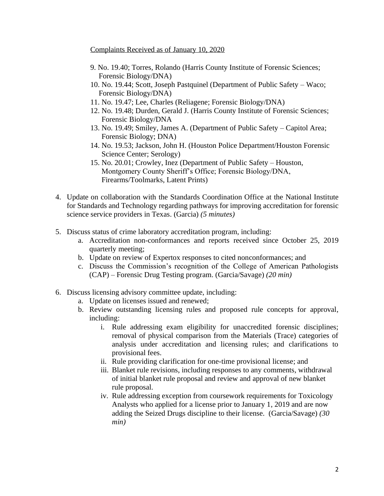Complaints Received as of January 10, 2020

- 9. No. 19.40; Torres, Rolando (Harris County Institute of Forensic Sciences; Forensic Biology/DNA)
- 10. No. 19.44; Scott, Joseph Pastquinel (Department of Public Safety Waco; Forensic Biology/DNA)
- 11. No. 19.47; Lee, Charles (Reliagene; Forensic Biology/DNA)
- 12. No. 19.48; Durden, Gerald J. (Harris County Institute of Forensic Sciences; Forensic Biology/DNA
- 13. No. 19.49; Smiley, James A. (Department of Public Safety Capitol Area; Forensic Biology; DNA)
- 14. No. 19.53; Jackson, John H. (Houston Police Department/Houston Forensic Science Center; Serology)
- 15. No. 20.01; Crowley, Inez (Department of Public Safety Houston, Montgomery County Sheriff's Office; Forensic Biology/DNA, Firearms/Toolmarks, Latent Prints)
- 4. Update on collaboration with the Standards Coordination Office at the National Institute for Standards and Technology regarding pathways for improving accreditation for forensic science service providers in Texas. (Garcia) *(5 minutes)*
- 5. Discuss status of crime laboratory accreditation program, including:
	- a. Accreditation non-conformances and reports received since October 25, 2019 quarterly meeting;
	- b. Update on review of Expertox responses to cited nonconformances; and
	- c. Discuss the Commission's recognition of the College of American Pathologists (CAP) – Forensic Drug Testing program. (Garcia/Savage) *(20 min)*
- 6. Discuss licensing advisory committee update, including:
	- a. Update on licenses issued and renewed;
	- b. Review outstanding licensing rules and proposed rule concepts for approval, including:
		- i. Rule addressing exam eligibility for unaccredited forensic disciplines; removal of physical comparison from the Materials (Trace) categories of analysis under accreditation and licensing rules; and clarifications to provisional fees.
		- ii. Rule providing clarification for one-time provisional license; and
		- iii. Blanket rule revisions, including responses to any comments, withdrawal of initial blanket rule proposal and review and approval of new blanket rule proposal.
		- iv. Rule addressing exception from coursework requirements for Toxicology Analysts who applied for a license prior to January 1, 2019 and are now adding the Seized Drugs discipline to their license. (Garcia/Savage) *(30 min)*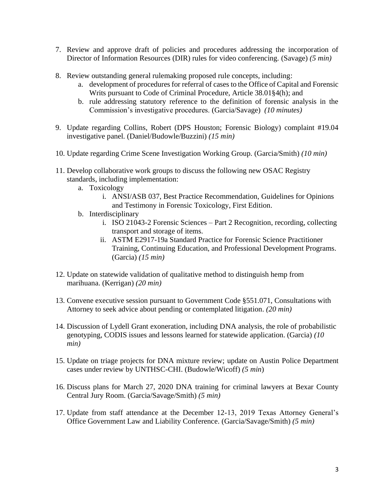- 7. Review and approve draft of policies and procedures addressing the incorporation of Director of Information Resources (DIR) rules for video conferencing. (Savage) *(5 min)*
- 8. Review outstanding general rulemaking proposed rule concepts, including:
	- a. development of procedures for referral of cases to the Office of Capital and Forensic Writs pursuant to Code of Criminal Procedure, Article 38.01§4(h); and
	- b. rule addressing statutory reference to the definition of forensic analysis in the Commission's investigative procedures. (Garcia/Savage) *(10 minutes)*
- 9. Update regarding Collins, Robert (DPS Houston; Forensic Biology) complaint #19.04 investigative panel. (Daniel/Budowle/Buzzini) *(15 min)*
- 10. Update regarding Crime Scene Investigation Working Group. (Garcia/Smith) *(10 min)*
- 11. Develop collaborative work groups to discuss the following new OSAC Registry standards, including implementation:
	- a. Toxicology
		- i. ANSI/ASB 037, Best Practice Recommendation, Guidelines for Opinions and Testimony in Forensic Toxicology, First Edition.
	- b. Interdisciplinary
		- i. ISO 21043-2 Forensic Sciences Part 2 Recognition, recording, collecting transport and storage of items.
		- ii. ASTM E2917-19a Standard Practice for Forensic Science Practitioner Training, Continuing Education, and Professional Development Programs. (Garcia) *(15 min)*
- 12. Update on statewide validation of qualitative method to distinguish hemp from marihuana. (Kerrigan) *(20 min)*
- 13. Convene executive session pursuant to Government Code §551.071, Consultations with Attorney to seek advice about pending or contemplated litigation. *(20 min)*
- 14. Discussion of Lydell Grant exoneration, including DNA analysis, the role of probabilistic genotyping, CODIS issues and lessons learned for statewide application. (Garcia) *(10 min)*
- 15. Update on triage projects for DNA mixture review; update on Austin Police Department cases under review by UNTHSC-CHI. (Budowle/Wicoff) *(5 min*)
- 16. Discuss plans for March 27, 2020 DNA training for criminal lawyers at Bexar County Central Jury Room. (Garcia/Savage/Smith) *(5 min)*
- 17. Update from staff attendance at the December 12-13, 2019 Texas Attorney General's Office Government Law and Liability Conference. (Garcia/Savage/Smith) *(5 min)*